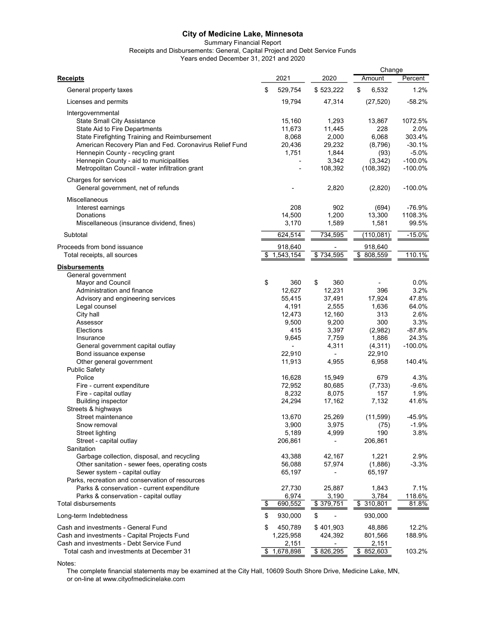Summary Financial Report

Receipts and Disbursements: General, Capital Project and Debt Service Funds

Years ended December 31, 2021 and 2020

|                                                         |                 |                          | Change      |           |
|---------------------------------------------------------|-----------------|--------------------------|-------------|-----------|
| <b>Receipts</b>                                         | 2021            | 2020                     | Amount      | Percent   |
| General property taxes                                  | \$<br>529,754   | \$523,222                | \$<br>6,532 | 1.2%      |
| Licenses and permits                                    | 19,794          | 47,314                   | (27, 520)   | $-58.2%$  |
| Intergovernmental                                       |                 |                          |             |           |
| <b>State Small City Assistance</b>                      | 15,160          | 1,293                    | 13,867      | 1072.5%   |
| State Aid to Fire Departments                           | 11,673          | 11,445                   | 228         | 2.0%      |
| State Firefighting Training and Reimbursement           | 8,068           | 2,000                    | 6,068       | 303.4%    |
| American Recovery Plan and Fed. Coronavirus Relief Fund | 20,436          | 29,232                   | (8,796)     | $-30.1%$  |
| Hennepin County - recycling grant                       | 1,751           | 1,844                    | (93)        | $-5.0%$   |
| Hennepin County - aid to municipalities                 |                 | 3,342                    | (3, 342)    | $-100.0%$ |
| Metropolitan Council - water infiltration grant         |                 | 108,392                  | (108, 392)  | $-100.0%$ |
| Charges for services                                    |                 |                          |             |           |
| General government, net of refunds                      |                 | 2,820                    | (2,820)     | $-100.0%$ |
| <b>Miscellaneous</b>                                    |                 |                          |             |           |
| Interest earnings                                       | 208             | 902                      | (694)       | -76.9%    |
| Donations                                               | 14,500          | 1,200                    | 13,300      | 1108.3%   |
| Miscellaneous (insurance dividend, fines)               | 3,170           | 1,589                    | 1,581       | 99.5%     |
| Subtotal                                                | 624,514         | 734,595                  | (110, 081)  | $-15.0%$  |
| Proceeds from bond issuance                             | 918,640         |                          | 918,640     |           |
| Total receipts, all sources                             | \$<br>1,543,154 | \$734,595                | \$808,559   | 110.1%    |
| <b>Disbursements</b>                                    |                 |                          |             |           |
| General government                                      |                 |                          |             |           |
| Mayor and Council                                       | \$<br>360       | \$<br>360                |             | 0.0%      |
| Administration and finance                              | 12,627          | 12,231                   | 396         | 3.2%      |
| Advisory and engineering services                       | 55,415          | 37,491                   | 17,924      | 47.8%     |
| Legal counsel                                           | 4,191           | 2,555                    | 1,636       | 64.0%     |
| City hall                                               | 12,473          | 12,160                   | 313         | 2.6%      |
| Assessor                                                | 9,500           | 9,200                    | 300         | 3.3%      |
| Elections                                               | 415             | 3,397                    | (2,982)     | $-87.8%$  |
| Insurance                                               | 9,645           | 7,759                    | 1,886       | 24.3%     |
| General government capital outlay                       |                 | 4,311                    | (4, 311)    | $-100.0%$ |
| Bond issuance expense                                   | 22,910          | $\overline{\phantom{a}}$ | 22,910      |           |
| Other general government                                | 11,913          | 4,955                    | 6,958       | 140.4%    |
| <b>Public Safety</b>                                    |                 |                          |             |           |
| Police                                                  | 16,628          | 15,949                   | 679         | 4.3%      |
| Fire - current expenditure                              | 72,952          | 80,685                   | (7, 733)    | $-9.6%$   |
| Fire - capital outlay                                   | 8,232           | 8,075                    | 157         | 1.9%      |
| <b>Building inspector</b>                               | 24,294          | 17,162                   | 7,132       | 41.6%     |
| Streets & highways                                      |                 |                          |             |           |
| Street maintenance                                      | 13,670          | 25,269                   | (11, 599)   | $-45.9%$  |
| Snow removal                                            | 3,900           | 3,975                    | (75)        | -1.9%     |
| <b>Street lighting</b>                                  | 5,189           | 4,999                    | 190         | 3.8%      |
| Street - capital outlay                                 | 206,861         |                          | 206,861     |           |
| Sanitation                                              |                 |                          |             |           |
| Garbage collection, disposal, and recycling             | 43,388          | 42,167                   | 1,221       | 2.9%      |
| Other sanitation - sewer fees, operating costs          | 56,088          | 57,974                   | (1,886)     | $-3.3%$   |
| Sewer system - capital outlay                           | 65,197          |                          | 65,197      |           |
| Parks, recreation and conservation of resources         |                 |                          |             |           |
| Parks & conservation - current expenditure              | 27,730          | 25,887                   | 1,843       | 7.1%      |
| Parks & conservation - capital outlay                   | 6,974           | 3,190                    | 3,784       | 118.6%    |
| Total disbursements                                     | \$<br>690,552   | \$379,751                | \$310,801   | 81.8%     |
| Long-term Indebtedness                                  | \$<br>930,000   | \$                       | 930,000     |           |
| Cash and investments - General Fund                     | \$<br>450,789   | \$401,903                | 48,886      | 12.2%     |
| Cash and investments - Capital Projects Fund            | 1,225,958       | 424,392                  | 801,566     | 188.9%    |
| Cash and investments - Debt Service Fund                | 2,151           |                          | 2,151       |           |
| Total cash and investments at December 31               | \$<br>1,678,898 | \$826,295                | \$852,603   | 103.2%    |

Notes:

The complete financial statements may be examined at the City Hall, 10609 South Shore Drive, Medicine Lake, MN, or on-line at www.cityofmedicinelake.com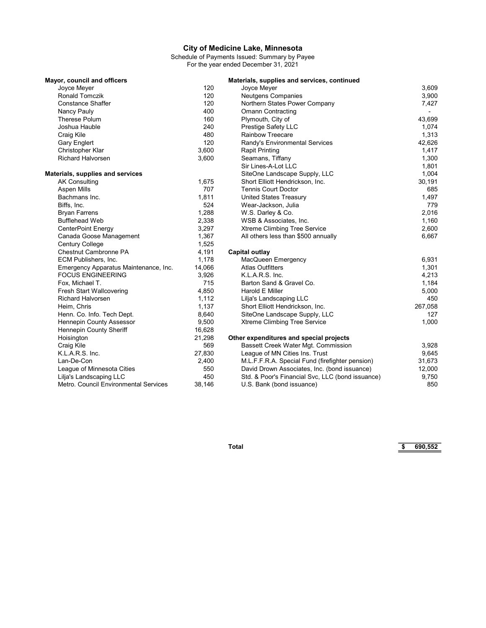Schedule of Payments Issued: Summary by Payee For the year ended December 31, 2021

| Mayor, council and officers           |        | Materials, supplies and services, continued      |                          |
|---------------------------------------|--------|--------------------------------------------------|--------------------------|
| Joyce Meyer                           | 120    | Joyce Meyer                                      | 3,609                    |
| <b>Ronald Tomczik</b>                 | 120    | <b>Neutgens Companies</b>                        | 3,900                    |
| <b>Constance Shaffer</b>              | 120    | Northern States Power Company                    | 7,427                    |
| Nancy Pauly                           | 400    | <b>Omann Contracting</b>                         | $\overline{\phantom{0}}$ |
| <b>Therese Polum</b>                  | 160    | Plymouth, City of                                | 43,699                   |
| Joshua Hauble                         | 240    | <b>Prestige Safety LLC</b>                       | 1,074                    |
| Craig Kile                            | 480    | <b>Rainbow Treecare</b>                          | 1,313                    |
| <b>Gary Englert</b>                   | 120    | Randy's Environmental Services                   | 42,626                   |
| Christopher Klar                      | 3,600  | <b>Rapit Printing</b>                            | 1,417                    |
| <b>Richard Halvorsen</b>              | 3,600  | Seamans, Tiffany                                 | 1,300                    |
|                                       |        | Sir Lines-A-Lot LLC                              | 1,801                    |
| Materials, supplies and services      |        | SiteOne Landscape Supply, LLC                    | 1,004                    |
| <b>AK Consulting</b>                  | 1,675  | Short Elliott Hendrickson, Inc.                  | 30,191                   |
| Aspen Mills                           | 707    | <b>Tennis Court Doctor</b>                       | 685                      |
| Bachmans Inc.                         | 1,811  | <b>United States Treasury</b>                    | 1,497                    |
| Biffs, Inc.                           | 524    | Wear-Jackson, Julia                              | 779                      |
| <b>Bryan Farrens</b>                  | 1,288  | W.S. Darley & Co.                                | 2,016                    |
| <b>Bufflehead Web</b>                 | 2,338  | WSB & Associates, Inc.                           | 1,160                    |
| <b>CenterPoint Energy</b>             | 3,297  | <b>Xtreme Climbing Tree Service</b>              | 2,600                    |
| Canada Goose Management               | 1,367  | All others less than \$500 annually              | 6,667                    |
| <b>Century College</b>                | 1,525  |                                                  |                          |
| <b>Chestnut Cambronne PA</b>          | 4,191  | Capital outlay                                   |                          |
| ECM Publishers, Inc.                  | 1,178  | MacQueen Emergency                               | 6,931                    |
| Emergency Apparatus Maintenance, Inc. | 14,066 | <b>Atlas Outfitters</b>                          | 1,301                    |
| <b>FOCUS ENGINEERING</b>              | 3,926  | K.L.A.R.S. Inc.                                  | 4,213                    |
| Fox, Michael T.                       | 715    | Barton Sand & Gravel Co.                         | 1,184                    |
| <b>Fresh Start Wallcovering</b>       | 4,850  | Harold E Miller                                  | 5,000                    |
| <b>Richard Halvorsen</b>              | 1,112  | Lilja's Landscaping LLC                          | 450                      |
| Heim, Chris                           | 1,137  | Short Elliott Hendrickson, Inc.                  | 267,058                  |
| Henn. Co. Info. Tech Dept.            | 8,640  | SiteOne Landscape Supply, LLC                    | 127                      |
| Hennepin County Assessor              | 9,500  | Xtreme Climbing Tree Service                     | 1,000                    |
| <b>Hennepin County Sheriff</b>        | 16,628 |                                                  |                          |
| Hoisington                            | 21,298 | Other expenditures and special projects          |                          |
| Craig Kile                            | 569    | Bassett Creek Water Mgt. Commission              | 3,928                    |
| K.L.A.R.S. Inc.                       | 27,830 | League of MN Cities Ins. Trust                   | 9,645                    |
| Lan-De-Con                            | 2,400  | M.L.F.F.R.A. Special Fund (firefighter pension)  | 31,673                   |
| League of Minnesota Cities            | 550    | David Drown Associates, Inc. (bond issuance)     | 12,000                   |
| Lilja's Landscaping LLC               | 450    | Std. & Poor's Financial Svc, LLC (bond issuance) | 9,750                    |
| Metro. Council Environmental Services | 38.146 | U.S. Bank (bond issuance)                        | 850                      |

Total \$ 690,552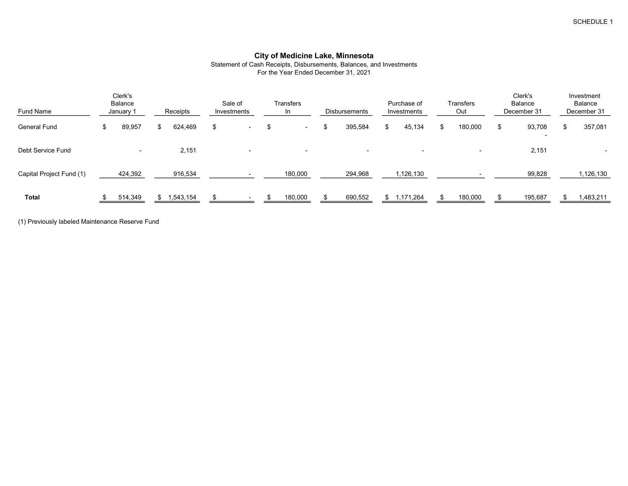Statement of Cash Receipts, Disbursements, Balances, and Investments For the Year Ended December 31, 2021

| Fund Name                |    | Clerk's<br><b>Balance</b><br>January 1 |    | Receipts  | Sale of<br>Investments   |    | Transfers<br>In          | Disbursements            |   | Purchase of<br>Investments | Transfers<br>Out         | Clerk's<br><b>Balance</b><br>December 31 |    | Investment<br>Balance<br>December 31 |
|--------------------------|----|----------------------------------------|----|-----------|--------------------------|----|--------------------------|--------------------------|---|----------------------------|--------------------------|------------------------------------------|----|--------------------------------------|
| <b>General Fund</b>      | D. | 89,957                                 | ж. | 624,469   | \$<br>$\blacksquare$     | .১ | $\sim$                   | \$<br>395,584            | S | 45,134                     | 180,000                  | 93,708<br>$\overline{\phantom{0}}$       | £. | 357,081                              |
| Debt Service Fund        |    | $\overline{\phantom{a}}$               |    | 2,151     | $\overline{\phantom{a}}$ |    | $\overline{\phantom{0}}$ | $\overline{\phantom{0}}$ |   | $\overline{\phantom{0}}$   | $\overline{\phantom{a}}$ | 2,151                                    |    |                                      |
| Capital Project Fund (1) |    | 424,392                                |    | 916,534   |                          |    | 180,000                  | 294,968                  |   | 1,126,130                  |                          | 99,828                                   |    | 1,126,130                            |
| <b>Total</b>             |    | 514,349                                | \$ | 1,543,154 | $\overline{\phantom{0}}$ |    | 180,000                  | 690,552                  |   | \$1,171,264                | 180,000                  | 195,687                                  |    | 483,211                              |

(1) Previously labeled Maintenance Reserve Fund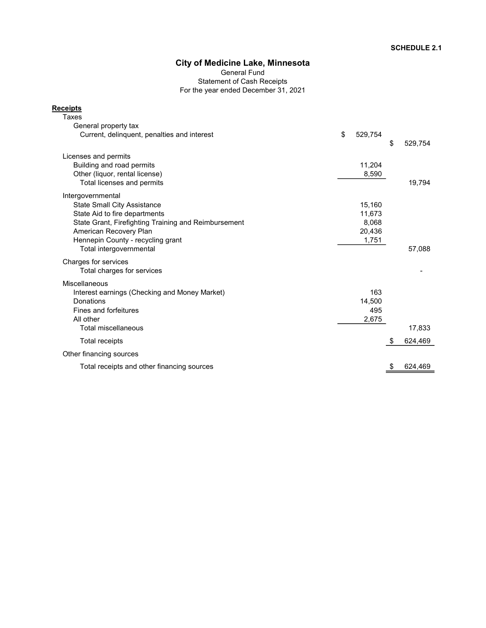General Fund Statement of Cash Receipts For the year ended December 31, 2021

# **Receipts**

| Taxes                                                |               |               |
|------------------------------------------------------|---------------|---------------|
| General property tax                                 |               |               |
| Current, delinguent, penalties and interest          | \$<br>529,754 |               |
|                                                      |               | \$<br>529,754 |
| Licenses and permits                                 |               |               |
| Building and road permits                            | 11,204        |               |
| Other (liquor, rental license)                       | 8,590         |               |
| Total licenses and permits                           |               | 19,794        |
| Intergovernmental                                    |               |               |
| <b>State Small City Assistance</b>                   | 15,160        |               |
| State Aid to fire departments                        | 11,673        |               |
| State Grant, Firefighting Training and Reimbursement | 8,068         |               |
| American Recovery Plan                               | 20,436        |               |
| Hennepin County - recycling grant                    | 1,751         |               |
| Total intergovernmental                              |               | 57,088        |
| Charges for services                                 |               |               |
| Total charges for services                           |               |               |
| Miscellaneous                                        |               |               |
| Interest earnings (Checking and Money Market)        | 163           |               |
| Donations                                            | 14,500        |               |
| Fines and forfeitures                                | 495           |               |
| All other                                            | 2,675         |               |
| <b>Total miscellaneous</b>                           |               | 17,833        |
| Total receipts                                       |               | \$<br>624,469 |
| Other financing sources                              |               |               |
| Total receipts and other financing sources           |               | \$<br>624,469 |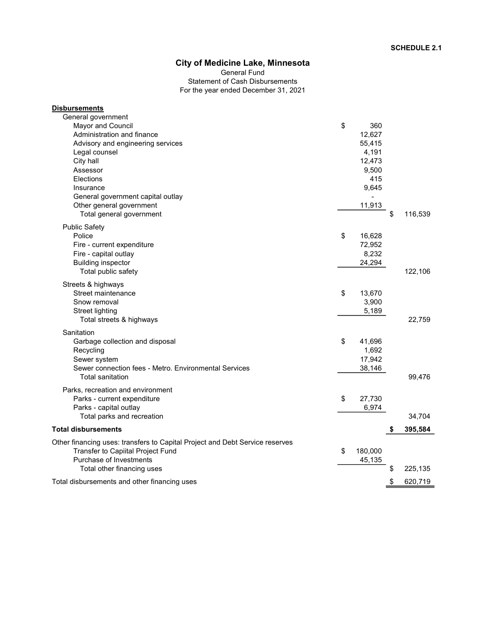Statement of Cash Disbursements For the year ended December 31, 2021 General Fund

| <b>Disbursements</b>                                                         |               |    |         |
|------------------------------------------------------------------------------|---------------|----|---------|
| General government                                                           |               |    |         |
| Mayor and Council                                                            | \$<br>360     |    |         |
| Administration and finance                                                   | 12,627        |    |         |
| Advisory and engineering services                                            | 55,415        |    |         |
| Legal counsel                                                                | 4,191         |    |         |
| City hall                                                                    | 12,473        |    |         |
| Assessor                                                                     | 9,500         |    |         |
| Elections                                                                    | 415           |    |         |
| Insurance                                                                    | 9,645         |    |         |
| General government capital outlay                                            |               |    |         |
| Other general government                                                     | 11,913        |    |         |
| Total general government                                                     |               | \$ | 116,539 |
| <b>Public Safety</b>                                                         |               |    |         |
| Police                                                                       | \$<br>16,628  |    |         |
| Fire - current expenditure                                                   | 72,952        |    |         |
| Fire - capital outlay                                                        | 8,232         |    |         |
| <b>Building inspector</b>                                                    | 24,294        |    |         |
| Total public safety                                                          |               |    | 122,106 |
|                                                                              |               |    |         |
| Streets & highways                                                           |               |    |         |
| Street maintenance                                                           | \$<br>13,670  |    |         |
| Snow removal                                                                 | 3,900         |    |         |
| <b>Street lighting</b>                                                       | 5,189         |    |         |
| Total streets & highways                                                     |               |    | 22,759  |
| Sanitation                                                                   |               |    |         |
| Garbage collection and disposal                                              | \$<br>41,696  |    |         |
| Recycling                                                                    | 1,692         |    |         |
| Sewer system                                                                 | 17,942        |    |         |
| Sewer connection fees - Metro, Environmental Services                        | 38,146        |    |         |
| <b>Total sanitation</b>                                                      |               |    | 99,476  |
|                                                                              |               |    |         |
| Parks, recreation and environment                                            |               |    |         |
| Parks - current expenditure                                                  | \$<br>27,730  |    |         |
| Parks - capital outlay                                                       | 6,974         |    |         |
| Total parks and recreation                                                   |               |    | 34,704  |
| <b>Total disbursements</b>                                                   |               | S  | 395,584 |
| Other financing uses: transfers to Capital Project and Debt Service reserves |               |    |         |
| Transfer to Capiital Project Fund                                            | \$<br>180,000 |    |         |
| Purchase of Investments                                                      | 45,135        |    |         |
| Total other financing uses                                                   |               | \$ | 225,135 |
| Total disbursements and other financing uses                                 |               | \$ | 620,719 |
|                                                                              |               |    |         |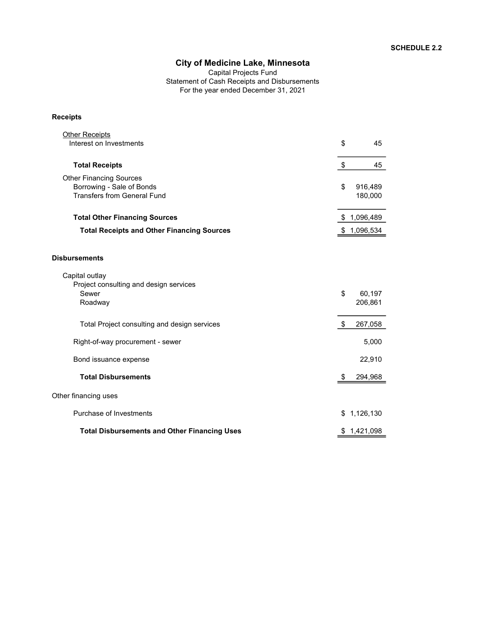Capital Projects Fund Statement of Cash Receipts and Disbursements For the year ended December 31, 2021

### Receipts

| <b>Other Receipts</b><br>Interest on Investments                                                  | \$ | 45                 |
|---------------------------------------------------------------------------------------------------|----|--------------------|
| <b>Total Receipts</b>                                                                             | \$ | 45                 |
| <b>Other Financing Sources</b><br>Borrowing - Sale of Bonds<br><b>Transfers from General Fund</b> | \$ | 916,489<br>180,000 |
| <b>Total Other Financing Sources</b>                                                              | S. | 1,096,489          |
| <b>Total Receipts and Other Financing Sources</b>                                                 | \$ | 1,096,534          |
| <b>Disbursements</b><br>Capital outlay<br>Project consulting and design services                  |    |                    |
| Sewer<br>Roadway                                                                                  | \$ | 60,197<br>206,861  |
| Total Project consulting and design services                                                      | \$ | 267,058            |
| Right-of-way procurement - sewer                                                                  |    | 5,000              |
| Bond issuance expense                                                                             |    | 22,910             |
| <b>Total Disbursements</b>                                                                        | \$ | 294,968            |
| Other financing uses                                                                              |    |                    |
| Purchase of Investments                                                                           |    | \$1,126,130        |
| <b>Total Disbursements and Other Financing Uses</b>                                               | P. | 1,421,098          |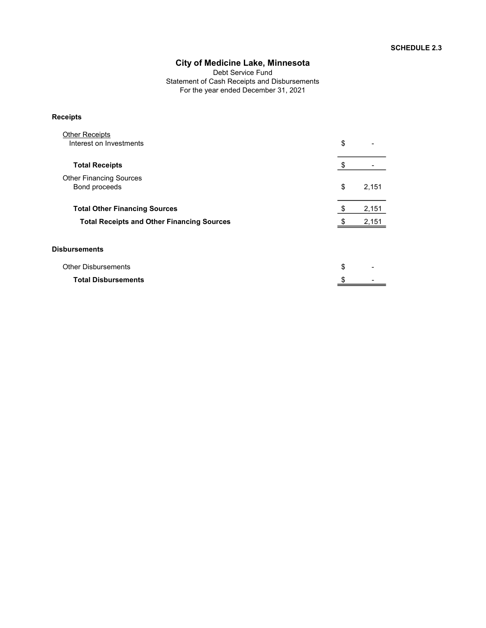Debt Service Fund Statement of Cash Receipts and Disbursements For the year ended December 31, 2021

### Receipts

| <b>Other Receipts</b><br>Interest on Investments   | \$          |
|----------------------------------------------------|-------------|
| <b>Total Receipts</b>                              |             |
| <b>Other Financing Sources</b><br>Bond proceeds    | \$<br>2,151 |
| <b>Total Other Financing Sources</b>               | 2,151       |
| <b>Total Receipts and Other Financing Sources</b>  | 2,151       |
| <b>Disbursements</b><br><b>Other Disbursements</b> | \$          |
|                                                    |             |

Total Disbursements  $\frac{\$ \qquad \qquad }{\qquad \qquad }$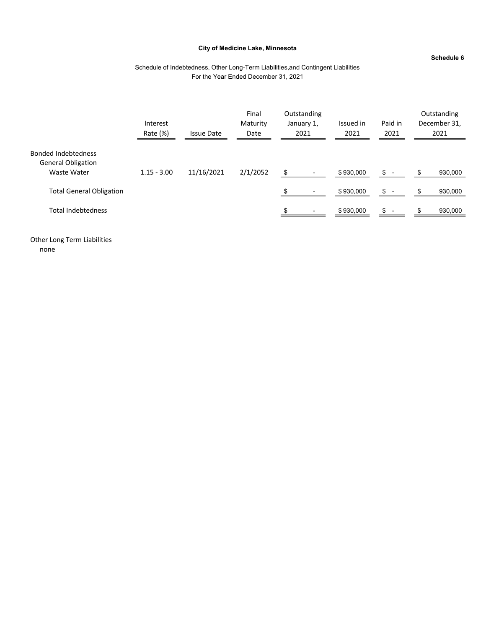#### Schedule 6

### Schedule of Indebtedness, Other Long-Term Liabilities,and Contingent Liabilities For the Year Ended December 31, 2021

|                                                                        | Interest<br>Rate (%) | <b>Issue Date</b> | Final<br>Maturity<br>Date |     | Outstanding<br>January 1,<br>2021 | Issued in<br>2021 | Paid in<br>2021 |   | Outstanding<br>December 31,<br>2021 |
|------------------------------------------------------------------------|----------------------|-------------------|---------------------------|-----|-----------------------------------|-------------------|-----------------|---|-------------------------------------|
| <b>Bonded Indebtedness</b><br><b>General Obligation</b><br>Waste Water | $1.15 - 3.00$        | 11/16/2021        | 2/1/2052                  | \$  | $\blacksquare$                    | \$930,000         | $s -$           | S | 930,000                             |
| <b>Total General Obligation</b>                                        |                      |                   |                           | \$. | $\blacksquare$                    | \$930,000         | $\frac{1}{2}$ - |   | 930,000                             |
| <b>Total Indebtedness</b>                                              |                      |                   |                           |     |                                   | \$930,000         | $s -$           |   | 930,000                             |

Other Long Term Liabilities none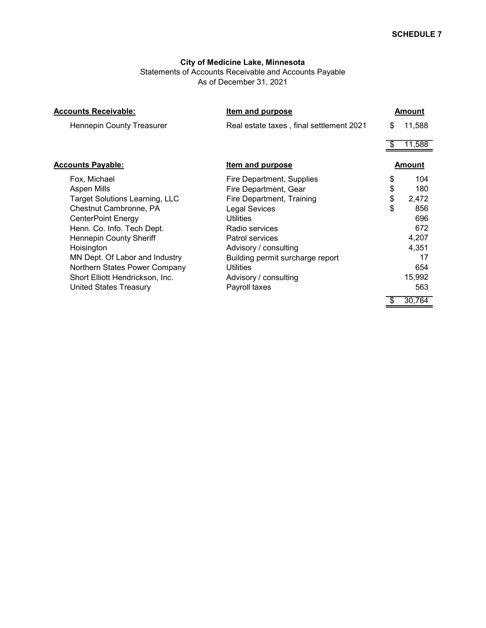Statements of Accounts Receivable and Accounts Payable As of December 31, 2021

| <b>Accounts Receivable:</b>           | Item and purpose                         | Amount        |  |  |  |
|---------------------------------------|------------------------------------------|---------------|--|--|--|
| <b>Hennepin County Treasurer</b>      | Real estate taxes, final settlement 2021 | \$<br>11,588  |  |  |  |
|                                       |                                          | 11,588        |  |  |  |
| <b>Accounts Payable:</b>              | <b>Item and purpose</b>                  | <b>Amount</b> |  |  |  |
| Fox, Michael                          | Fire Department, Supplies                | \$<br>104     |  |  |  |
| Aspen Mills                           | Fire Department, Gear                    | \$<br>180     |  |  |  |
| <b>Target Solutions Learning, LLC</b> | Fire Department, Training                | \$<br>2,472   |  |  |  |
| Chestnut Cambronne, PA                | <b>Legal Sevices</b>                     | \$<br>856     |  |  |  |
| <b>CenterPoint Energy</b>             | <b>Utilities</b>                         | 696           |  |  |  |
| Henn. Co. Info. Tech Dept.            | Radio services                           | 672           |  |  |  |
| <b>Hennepin County Sheriff</b>        | <b>Patrol services</b>                   | 4,207         |  |  |  |
| Hoisington                            | Advisory / consulting                    | 4,351         |  |  |  |
| MN Dept. Of Labor and Industry        | Building permit surcharge report         | 17            |  |  |  |
| Northern States Power Company         | <b>Utilities</b>                         | 654           |  |  |  |
| Short Elliott Hendrickson, Inc.       | Advisory / consulting                    | 15,992        |  |  |  |
| <b>United States Treasury</b>         | Payroll taxes                            | 563           |  |  |  |
|                                       |                                          | 30,764        |  |  |  |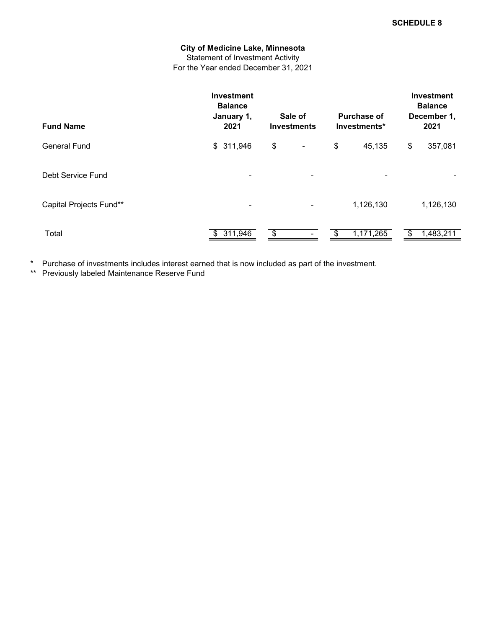### City of Medicine Lake, Minnesota Statement of Investment Activity For the Year ended December 31, 2021

| <b>Fund Name</b>        | <b>Investment</b><br><b>Balance</b><br>January 1,<br>2021 | Sale of<br><b>Investments</b>  | <b>Purchase of</b><br>Investments* | <b>Investment</b><br><b>Balance</b><br>December 1,<br>2021 |  |  |
|-------------------------|-----------------------------------------------------------|--------------------------------|------------------------------------|------------------------------------------------------------|--|--|
| General Fund            | \$311,946                                                 | \$<br>$\overline{\phantom{a}}$ | \$<br>45,135                       | \$<br>357,081                                              |  |  |
| Debt Service Fund       | ۰                                                         | ۰                              |                                    |                                                            |  |  |
| Capital Projects Fund** | ۰                                                         | ۰                              | 1,126,130                          | 1,126,130                                                  |  |  |
| Total                   | \$311,946                                                 | \$                             | 1,171,265                          | 1,483,211                                                  |  |  |

\* Purchase of investments includes interest earned that is now included as part of the investment.

\*\* Previously labeled Maintenance Reserve Fund